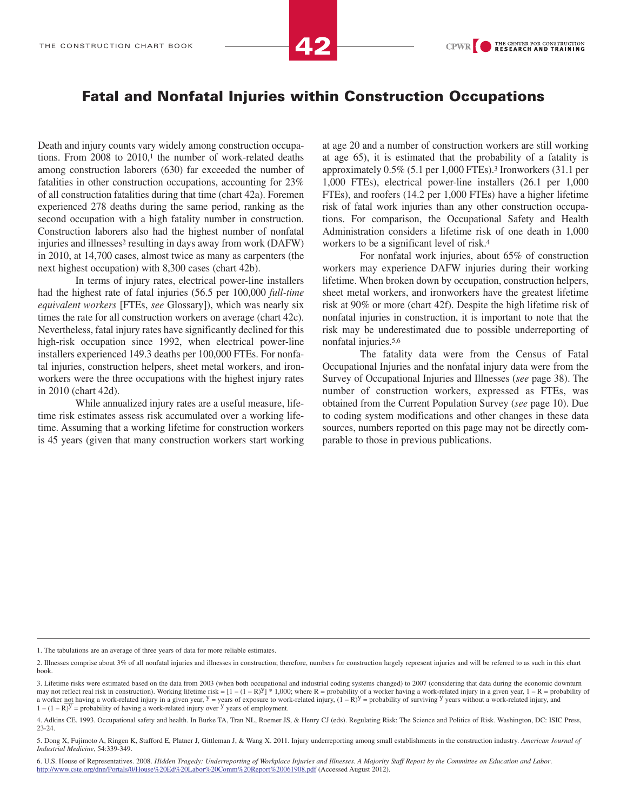### Fatal and Nonfatal Injuries within Construction Occupations

Death and injury counts vary widely among construction occupations. From 2008 to 2010,<sup>1</sup> the number of work-related deaths among construction laborers (630) far exceeded the number of fatalities in other construction occupations, accounting for 23% of all construction fatalities during that time (chart 42a). Foremen experienced 278 deaths during the same period, ranking as the second occupation with a high fatality number in construction. Construction laborers also had the highest number of nonfatal injuries and illnesses<sup>2</sup> resulting in days away from work (DAFW) in 2010, at 14,700 cases, almost twice as many as carpenters (the next highest occupation) with 8,300 cases (chart 42b).

In terms of injury rates, electrical power-line installers had the highest rate of fatal injuries (56.5 per 100,000 *full-time equivalent workers* [FTEs, *see* Glossary]), which was nearly six times the rate for all construction workers on average (chart 42c). Nevertheless, fatal injury rates have significantly declined for this high-risk occupation since 1992, when electrical power-line installers experienced 149.3 deaths per 100,000 FTEs. For nonfatal injuries, construction helpers, sheet metal workers, and ironworkers were the three occupations with the highest injury rates in 2010 (chart 42d).

While annualized injury rates are a useful measure, lifetime risk estimates assess risk accumulated over a working lifetime. Assuming that a working lifetime for construction workers is 45 years (given that many construction workers start working at age 20 and a number of construction workers are still working at age 65), it is estimated that the probability of a fatality is approximately 0.5% (5.1 per 1,000 FTEs).<sup>3</sup> Ironworkers (31.1 per 1,000 FTEs), electrical power-line installers (26.1 per 1,000 FTEs), and roofers (14.2 per 1,000 FTEs) have a higher lifetime risk of fatal work injuries than any other construction occupations. For comparison, the Occupational Safety and Health Administration considers a lifetime risk of one death in 1,000 workers to be a significant level of risk.<sup>4</sup>

For nonfatal work injuries, about 65% of construction workers may experience DAFW injuries during their working lifetime. When broken down by occupation, construction helpers, sheet metal workers, and ironworkers have the greatest lifetime risk at 90% or more (chart 42f). Despite the high lifetime risk of nonfatal injuries in construction, it is important to note that the risk may be underestimated due to possible underreporting of nonfatal injuries.5,6

The fatality data were from the Census of Fatal Occupational Injuries and the nonfatal injury data were from the Survey of Occupational Injuries and Illnesses (*see* page 38). The number of construction workers, expressed as FTEs, was obtained from the Current Population Survey (*see* page 10). Due to coding system modifications and other changes in these data sources, numbers reported on this page may not be directly comparable to those in previous publications.

<sup>1.</sup> The tabulations are an average of three years of data for more reliable estimates.

<sup>2.</sup> Illnesses comprise about 3% of all nonfatal injuries and illnesses in construction; therefore, numbers for construction largely represent injuries and will be referred to as such in this chart book.

<sup>3.</sup> Lifetime risks were estimated based on the data from 2003 (when both occupational and industrial coding systems changed) to 2007 (considering that data during the economic downturn may not reflect real risk in construction). Working lifetime risk =  $[1 - (1 - R)^{y}]$  \* 1,000; where R = probability of a worker having a work-related injury in a given year, 1 – R = probability of a worker not having a work-related injury in a given year,  $y = y$ ears of exposure to work-related injury,  $(1 - R)y =$  probability of surviving y years without a work-related injury, and  $1 - (1 - R)^y$  = probability of having a work-related injury over <sup>y</sup> years of employment.

<sup>4.</sup> Adkins CE. 1993. Occupational safety and health. In Burke TA, Tran NL, Roemer JS, & Henry CJ (eds). Regulating Risk: The Science and Politics of Risk. Washington, DC: ISIC Press, 23-24.

<sup>5.</sup> Dong X, Fujimoto A, Ringen K, Stafford E, Platner J, Gittleman J, & Wang X. 2011. Injury underreporting among small establishments in the construction industry. *American Journal of Industrial Medicine*, 54:339-349.

<sup>6.</sup> U.S. House of Representatives. 2008. *Hidden Tragedy: Underreporting of Workplace Injuries and Illnesses. A Majority Staff Report by the Committee on Education and Labor*. http://www.cste.org/dnn/Portals/0/House%20Ed%20Labor%20Comm%20Report%20061908.pdf (Accessed August 2012).